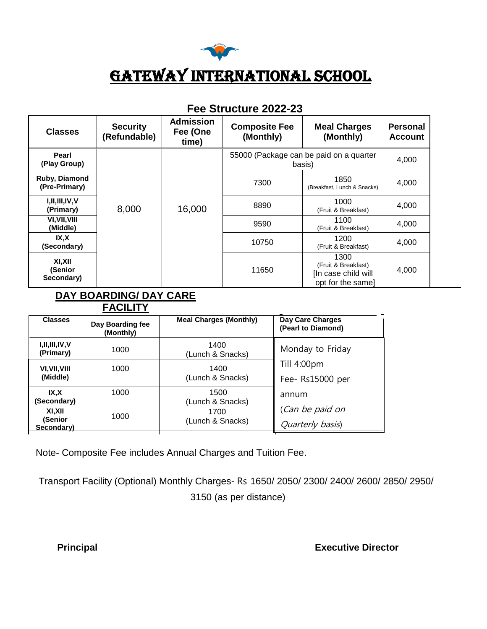

# GATEWAY INTERNATIONAL SCHOOL

| <b>Classes</b>                  | <b>Security</b><br>(Refundable) | <b>Admission</b><br>Fee (One<br>time) | <b>Composite Fee</b><br>(Monthly)                 | <b>Meal Charges</b><br>(Monthly)                                        | <b>Personal</b><br><b>Account</b> |
|---------------------------------|---------------------------------|---------------------------------------|---------------------------------------------------|-------------------------------------------------------------------------|-----------------------------------|
| Pearl<br>(Play Group)           | 8,000                           | 16,000                                | 55000 (Package can be paid on a quarter<br>basis) |                                                                         | 4,000                             |
| Ruby, Diamond<br>(Pre-Primary)  |                                 |                                       | 7300                                              | 1850<br>(Breakfast, Lunch & Snacks)                                     | 4,000                             |
| I, II, III, IV, V<br>(Primary)  |                                 |                                       | 8890                                              | 1000<br>(Fruit & Breakfast)                                             | 4,000                             |
| VI, VII, VIII<br>(Middle)       |                                 |                                       | 9590                                              | 1100<br>(Fruit & Breakfast)                                             | 4,000                             |
| IX,X<br>(Secondary)             |                                 |                                       | 10750                                             | 1200<br>(Fruit & Breakfast)                                             | 4,000                             |
| XI,XII<br>(Senior<br>Secondary) |                                 |                                       | 11650                                             | 1300<br>(Fruit & Breakfast)<br>[In case child will<br>opt for the same] | 4,000                             |

## **Fee Structure 2022-23**

#### **DAY BOARDING/ DAY CARE FACILITY**

| <b>Classes</b>                  | Day Boarding fee<br>(Monthly) | <b>Meal Charges (Monthly)</b> | Day Care Charges<br>(Pearl to Diamond) |  |  |  |
|---------------------------------|-------------------------------|-------------------------------|----------------------------------------|--|--|--|
| I, II, III, IV, V<br>(Primary)  | 1000                          | 1400<br>(Lunch & Snacks)      | Monday to Friday                       |  |  |  |
| <b>VI.VII.VIII</b><br>(Middle)  | 1000                          | 1400<br>(Lunch & Snacks)      | Till 4:00pm<br>Fee-Rs15000 per         |  |  |  |
| IX.X<br>(Secondary)             | 1000                          | 1500<br>(Lunch & Snacks)      | annum                                  |  |  |  |
| XI.XII<br>(Senior<br>Secondary) | 1000                          | 1700<br>(Lunch & Snacks)      | (Can be paid on<br>Quarterly basis)    |  |  |  |

Note- Composite Fee includes Annual Charges and Tuition Fee.

Transport Facility (Optional) Monthly Charges- Rs 1650/ 2050/ 2300/ 2400/ 2600/ 2850/ 2950/ 3150 (as per distance)

**Principal Executive Director**